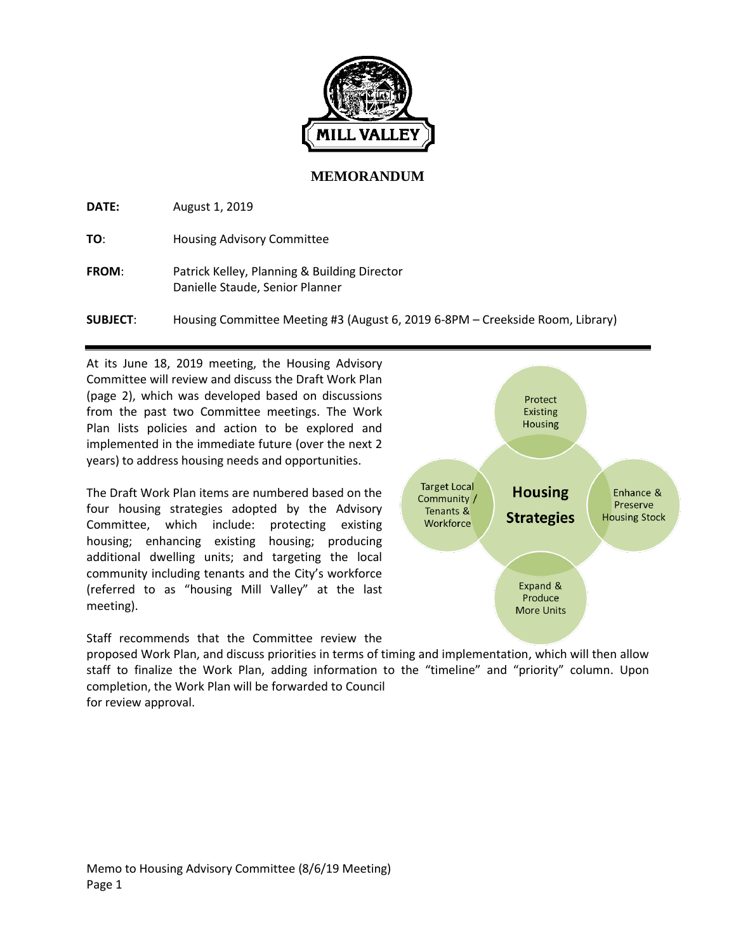

## **MEMORANDUM**

**DATE:** August 1, 2019

**TO**: Housing Advisory Committee

**FROM**: Patrick Kelley, Planning & Building Director Danielle Staude, Senior Planner

**SUBJECT**: Housing Committee Meeting #3 (August 6, 2019 6-8PM – Creekside Room, Library)

Protect **Existing Housing** 

**Housing** 

**Strategies** 

Expand & Produce **More Units**  Enhance &

Preserve

**Housing Stock** 

**Target Local** 

Community /

Tenants &

Workforce

At its June 18, 2019 meeting, the Housing Advisory Committee will review and discuss the Draft Work Plan (page 2), which was developed based on discussions from the past two Committee meetings. The Work Plan lists policies and action to be explored and implemented in the immediate future (over the next 2 years) to address housing needs and opportunities.

The Draft Work Plan items are numbered based on the four housing strategies adopted by the Advisory Committee, which include: protecting existing housing; enhancing existing housing; producing additional dwelling units; and targeting the local community including tenants and the City's workforce (referred to as "housing Mill Valley" at the last meeting).



proposed Work Plan, and discuss priorities in terms of timing and implementation, which will then allow staff to finalize the Work Plan, adding information to the "timeline" and "priority" column. Upon completion, the Work Plan will be forwarded to Council for review approval.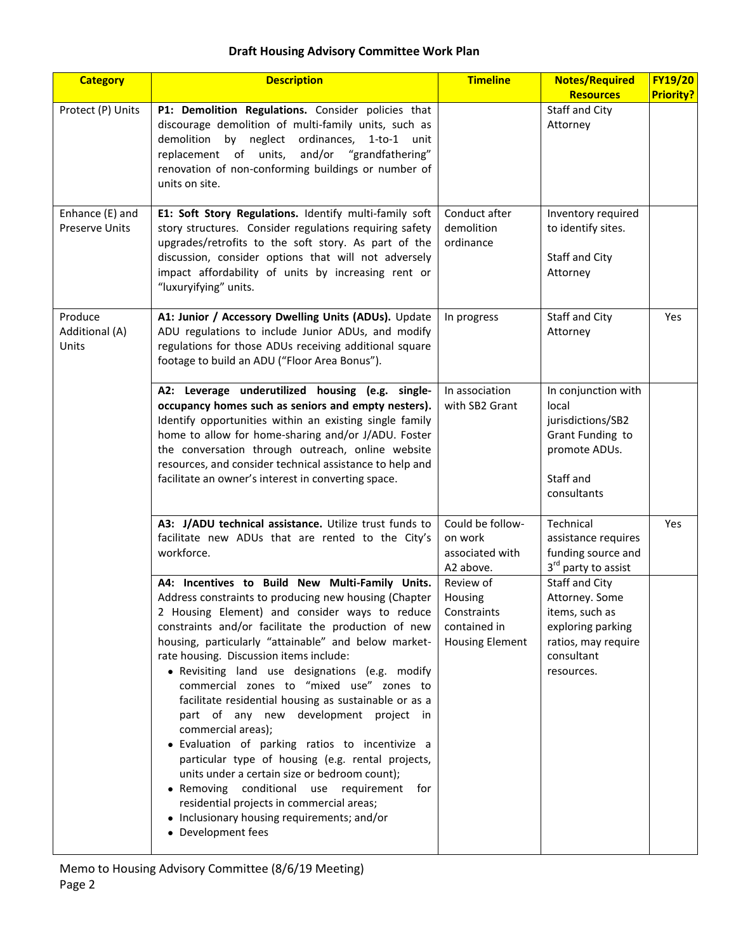## **Draft Housing Advisory Committee Work Plan**

| <b>Category</b>                          | <b>Description</b>                                                                                                                                                                                                                                                                                                                                                                                                                                                                                                                                                                                                                                                                                                                                                                                                                                                       | <b>Timeline</b>                                                               | <b>Notes/Required</b>                                                                                                      | <b>FY19/20</b>   |
|------------------------------------------|--------------------------------------------------------------------------------------------------------------------------------------------------------------------------------------------------------------------------------------------------------------------------------------------------------------------------------------------------------------------------------------------------------------------------------------------------------------------------------------------------------------------------------------------------------------------------------------------------------------------------------------------------------------------------------------------------------------------------------------------------------------------------------------------------------------------------------------------------------------------------|-------------------------------------------------------------------------------|----------------------------------------------------------------------------------------------------------------------------|------------------|
|                                          |                                                                                                                                                                                                                                                                                                                                                                                                                                                                                                                                                                                                                                                                                                                                                                                                                                                                          |                                                                               | <b>Resources</b>                                                                                                           | <b>Priority?</b> |
| Protect (P) Units                        | P1: Demolition Regulations. Consider policies that<br>discourage demolition of multi-family units, such as<br>demolition by neglect ordinances, 1-to-1 unit<br>replacement of units,<br>and/or "grandfathering"<br>renovation of non-conforming buildings or number of<br>units on site.                                                                                                                                                                                                                                                                                                                                                                                                                                                                                                                                                                                 |                                                                               | Staff and City<br>Attorney                                                                                                 |                  |
| Enhance (E) and<br><b>Preserve Units</b> | E1: Soft Story Regulations. Identify multi-family soft<br>story structures. Consider regulations requiring safety<br>upgrades/retrofits to the soft story. As part of the<br>discussion, consider options that will not adversely<br>impact affordability of units by increasing rent or<br>"luxuryifying" units.                                                                                                                                                                                                                                                                                                                                                                                                                                                                                                                                                        | Conduct after<br>demolition<br>ordinance                                      | Inventory required<br>to identify sites.<br>Staff and City<br>Attorney                                                     |                  |
| Produce<br>Additional (A)<br>Units       | A1: Junior / Accessory Dwelling Units (ADUs). Update<br>ADU regulations to include Junior ADUs, and modify<br>regulations for those ADUs receiving additional square<br>footage to build an ADU ("Floor Area Bonus").                                                                                                                                                                                                                                                                                                                                                                                                                                                                                                                                                                                                                                                    | In progress                                                                   | Staff and City<br>Attorney                                                                                                 | Yes              |
|                                          | A2: Leverage underutilized housing (e.g. single-<br>occupancy homes such as seniors and empty nesters).<br>Identify opportunities within an existing single family<br>home to allow for home-sharing and/or J/ADU. Foster<br>the conversation through outreach, online website<br>resources, and consider technical assistance to help and<br>facilitate an owner's interest in converting space.                                                                                                                                                                                                                                                                                                                                                                                                                                                                        | In association<br>with SB2 Grant                                              | In conjunction with<br>local<br>jurisdictions/SB2<br>Grant Funding to<br>promote ADUs.<br>Staff and<br>consultants         |                  |
|                                          | A3: J/ADU technical assistance. Utilize trust funds to<br>facilitate new ADUs that are rented to the City's<br>workforce.                                                                                                                                                                                                                                                                                                                                                                                                                                                                                                                                                                                                                                                                                                                                                | Could be follow-<br>on work<br>associated with<br>A2 above.                   | Technical<br>assistance requires<br>funding source and<br>3 <sup>rd</sup> party to assist                                  | Yes              |
|                                          | A4: Incentives to Build New Multi-Family Units.<br>Address constraints to producing new housing (Chapter<br>2 Housing Element) and consider ways to reduce<br>constraints and/or facilitate the production of new<br>housing, particularly "attainable" and below market-<br>rate housing. Discussion items include:<br>· Revisiting land use designations (e.g. modify<br>commercial zones to "mixed use" zones to<br>facilitate residential housing as sustainable or as a<br>part of any new development project in<br>commercial areas);<br>· Evaluation of parking ratios to incentivize a<br>particular type of housing (e.g. rental projects,<br>units under a certain size or bedroom count);<br>• Removing conditional use requirement<br>for<br>residential projects in commercial areas;<br>• Inclusionary housing requirements; and/or<br>• Development fees | Review of<br>Housing<br>Constraints<br>contained in<br><b>Housing Element</b> | Staff and City<br>Attorney. Some<br>items, such as<br>exploring parking<br>ratios, may require<br>consultant<br>resources. |                  |

Memo to Housing Advisory Committee (8/6/19 Meeting) Page 2